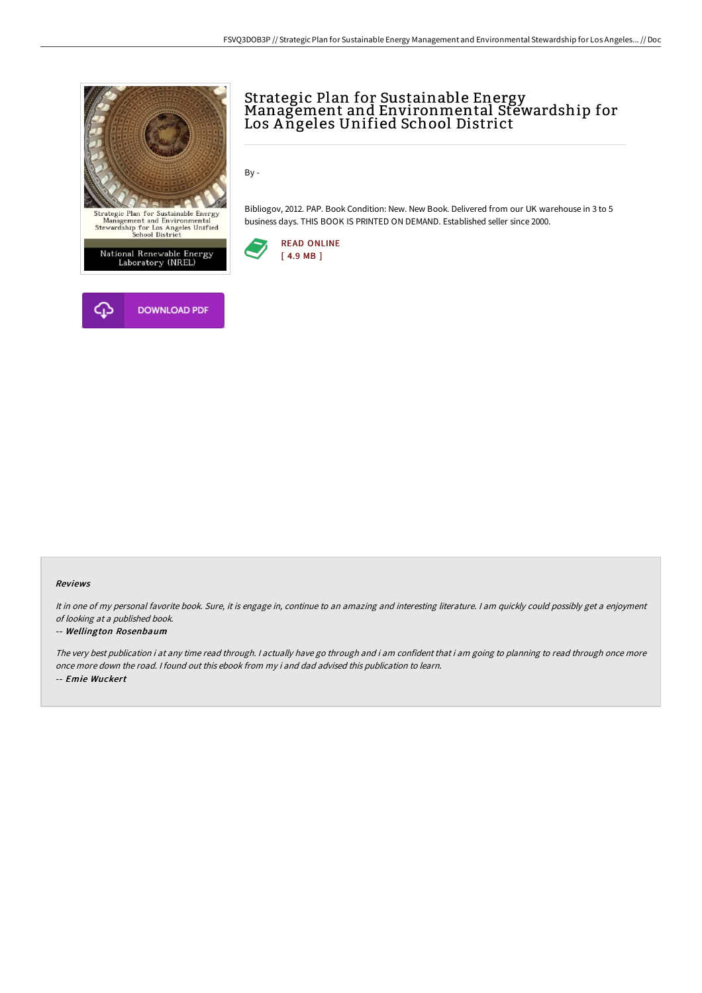



# Strategic Plan for Sustainable Energy<br>Management and Environmental Stewardship for Los A ngeles Unified School District

By -

Bibliogov, 2012. PAP. Book Condition: New. New Book. Delivered from our UK warehouse in 3 to 5 business days. THIS BOOK IS PRINTED ON DEMAND. Established seller since 2000.



#### Reviews

It in one of my personal favorite book. Sure, it is engage in, continue to an amazing and interesting literature. <sup>I</sup> am quickly could possibly get <sup>a</sup> enjoyment of looking at <sup>a</sup> published book.

#### -- Wellington Rosenbaum

The very best publication i at any time read through. <sup>I</sup> actually have go through and i am confident that i am going to planning to read through once more once more down the road. I found out this ebook from my i and dad advised this publication to learn. -- Emie Wuckert